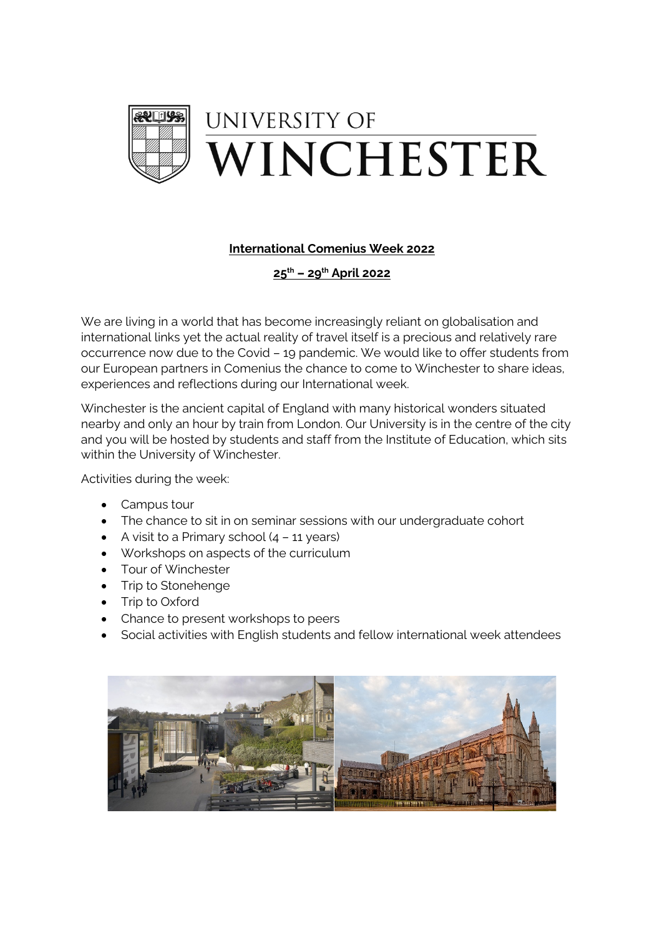

## **International Comenius Week 2022**

**25th – 29th April 2022**

We are living in a world that has become increasingly reliant on globalisation and international links yet the actual reality of travel itself is a precious and relatively rare occurrence now due to the Covid – 19 pandemic. We would like to offer students from our European partners in Comenius the chance to come to Winchester to share ideas, experiences and reflections during our International week.

Winchester is the ancient capital of England with many historical wonders situated nearby and only an hour by train from London. Our University is in the centre of the city and you will be hosted by students and staff from the Institute of Education, which sits within the University of Winchester.

Activities during the week:

- Campus tour
- The chance to sit in on seminar sessions with our undergraduate cohort
- A visit to a Primary school  $(4 11$  years)
- Workshops on aspects of the curriculum
- Tour of Winchester
- Trip to Stonehenge
- Trip to Oxford
- Chance to present workshops to peers
- Social activities with English students and fellow international week attendees